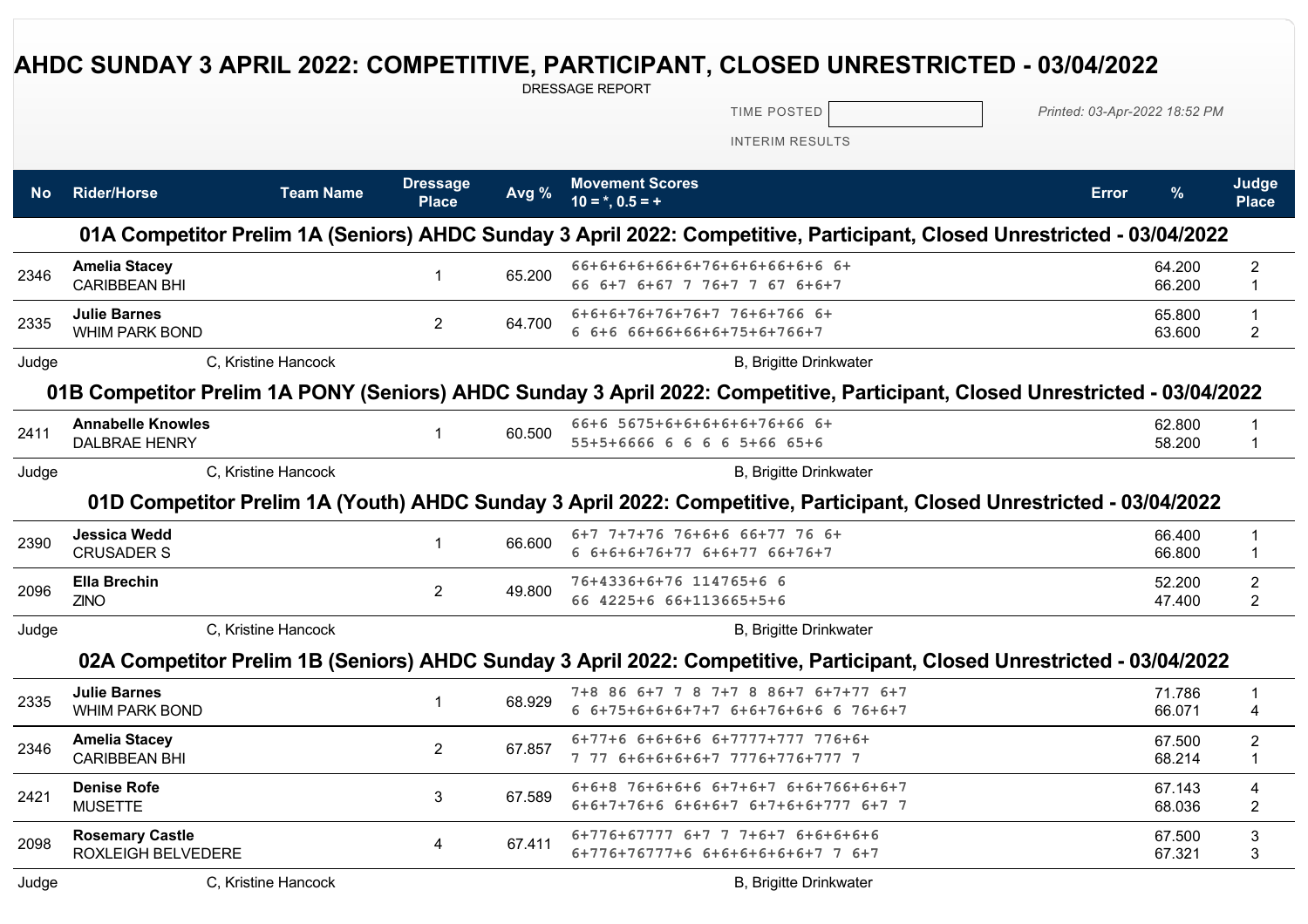## **AHDC SUNDAY 3 APRIL 2022: COMPETITIVE, PARTICIPANT, CLOSED UNRESTRICTED - 03/04/2022**

DRESSAGE REPORT

TIME POSTED *Printed: 03-Apr-2022 18:52 PM*

INTERIM RESULTS

| <b>No</b> | <b>Rider/Horse</b>                                  | <b>Team Name</b>    | <b>Dressage</b><br><b>Place</b> | Avg %  | <b>Movement Scores</b><br>$10 = *, 0.5 = +$                                                                                  | <b>Error</b> | %                | Judge<br><b>Place</b>            |
|-----------|-----------------------------------------------------|---------------------|---------------------------------|--------|------------------------------------------------------------------------------------------------------------------------------|--------------|------------------|----------------------------------|
|           |                                                     |                     |                                 |        | 01A Competitor Prelim 1A (Seniors) AHDC Sunday 3 April 2022: Competitive, Participant, Closed Unrestricted - 03/04/2022      |              |                  |                                  |
| 2346      | <b>Amelia Stacey</b><br><b>CARIBBEAN BHI</b>        |                     | 1                               | 65.200 | 66+6+6+6+66+6+76+6+6+66+6+6 6+<br>66 6+7 6+67 7 76+7 7 67 6+6+7                                                              |              | 64.200<br>66.200 | $\overline{2}$<br>1              |
| 2335      | <b>Julie Barnes</b><br><b>WHIM PARK BOND</b>        |                     | $\overline{2}$                  | 64.700 | 6+6+6+76+76+76+7 76+6+766 6+<br>6 6+6 66+66+66+6+75+6+766+7                                                                  |              | 65.800<br>63.600 | $\mathbf{1}$<br>$\overline{2}$   |
| Judge     |                                                     | C. Kristine Hancock |                                 |        | <b>B, Brigitte Drinkwater</b>                                                                                                |              |                  |                                  |
|           |                                                     |                     |                                 |        | 01B Competitor Prelim 1A PONY (Seniors) AHDC Sunday 3 April 2022: Competitive, Participant, Closed Unrestricted - 03/04/2022 |              |                  |                                  |
| 2411      | <b>Annabelle Knowles</b><br><b>DALBRAE HENRY</b>    |                     | $\mathbf 1$                     | 60.500 | 66+6 5675+6+6+6+6+6+76+66 6+<br>55+5+6666 6 6 6 6 5+66 65+6                                                                  |              | 62.800<br>58.200 | $\mathbf 1$<br>$\mathbf{1}$      |
| Judge     |                                                     | C, Kristine Hancock |                                 |        | B, Brigitte Drinkwater                                                                                                       |              |                  |                                  |
|           |                                                     |                     |                                 |        | 01D Competitor Prelim 1A (Youth) AHDC Sunday 3 April 2022: Competitive, Participant, Closed Unrestricted - 03/04/2022        |              |                  |                                  |
| 2390      | <b>Jessica Wedd</b><br><b>CRUSADER S</b>            |                     | 1                               | 66.600 | 6+7 7+7+76 76+6+6 66+77 76 6+<br>6 6+6+6+76+77 6+6+77 66+76+7                                                                |              | 66.400<br>66.800 | 1<br>$\mathbf 1$                 |
| 2096      | <b>Ella Brechin</b><br><b>ZINO</b>                  |                     | $\overline{2}$                  | 49.800 | 76+4336+6+76 114765+6 6<br>66 4225+6 66+113665+5+6                                                                           |              | 52.200<br>47.400 | $\overline{2}$<br>$\overline{2}$ |
| Judge     |                                                     | C, Kristine Hancock |                                 |        | B, Brigitte Drinkwater                                                                                                       |              |                  |                                  |
|           |                                                     |                     |                                 |        | 02A Competitor Prelim 1B (Seniors) AHDC Sunday 3 April 2022: Competitive, Participant, Closed Unrestricted - 03/04/2022      |              |                  |                                  |
| 2335      | <b>Julie Barnes</b><br><b>WHIM PARK BOND</b>        |                     | 1                               | 68.929 | 7+8 86 6+7 7 8 7+7 8 86+7 6+7+77 6+7<br>6 6+75+6+6+6+7+7 6+6+76+6+6 6 76+6+7                                                 |              | 71.786<br>66.071 | 1<br>4                           |
| 2346      | <b>Amelia Stacey</b><br><b>CARIBBEAN BHI</b>        |                     | $\overline{2}$                  | 67.857 | 6+77+6 6+6+6+6 6+7777+777 776+6+<br>7 77 6+6+6+6+6+7 7776+776+777 7                                                          |              | 67.500<br>68.214 | $\boldsymbol{2}$<br>$\mathbf{1}$ |
| 2421      | <b>Denise Rofe</b><br><b>MUSETTE</b>                |                     | 3                               | 67.589 | 6+6+8 76+6+6+6 6+7+6+7 6+6+766+6+6+7<br>6+6+7+76+6 6+6+6+7 6+7+6+6+777 6+7 7                                                 |              | 67.143<br>68.036 | 4<br>$\overline{2}$              |
| 2098      | <b>Rosemary Castle</b><br><b>ROXLEIGH BELVEDERE</b> |                     | 4                               | 67.411 | $6+776+67777$ $6+7$ 7 7+6+7 6+6+6+6+6<br>6+776+76777+6 6+6+6+6+6+6+7 7 6+7                                                   |              | 67.500<br>67.321 | $\ensuremath{\mathsf{3}}$<br>3   |
| Judge     |                                                     | C, Kristine Hancock |                                 |        | <b>B. Brigitte Drinkwater</b>                                                                                                |              |                  |                                  |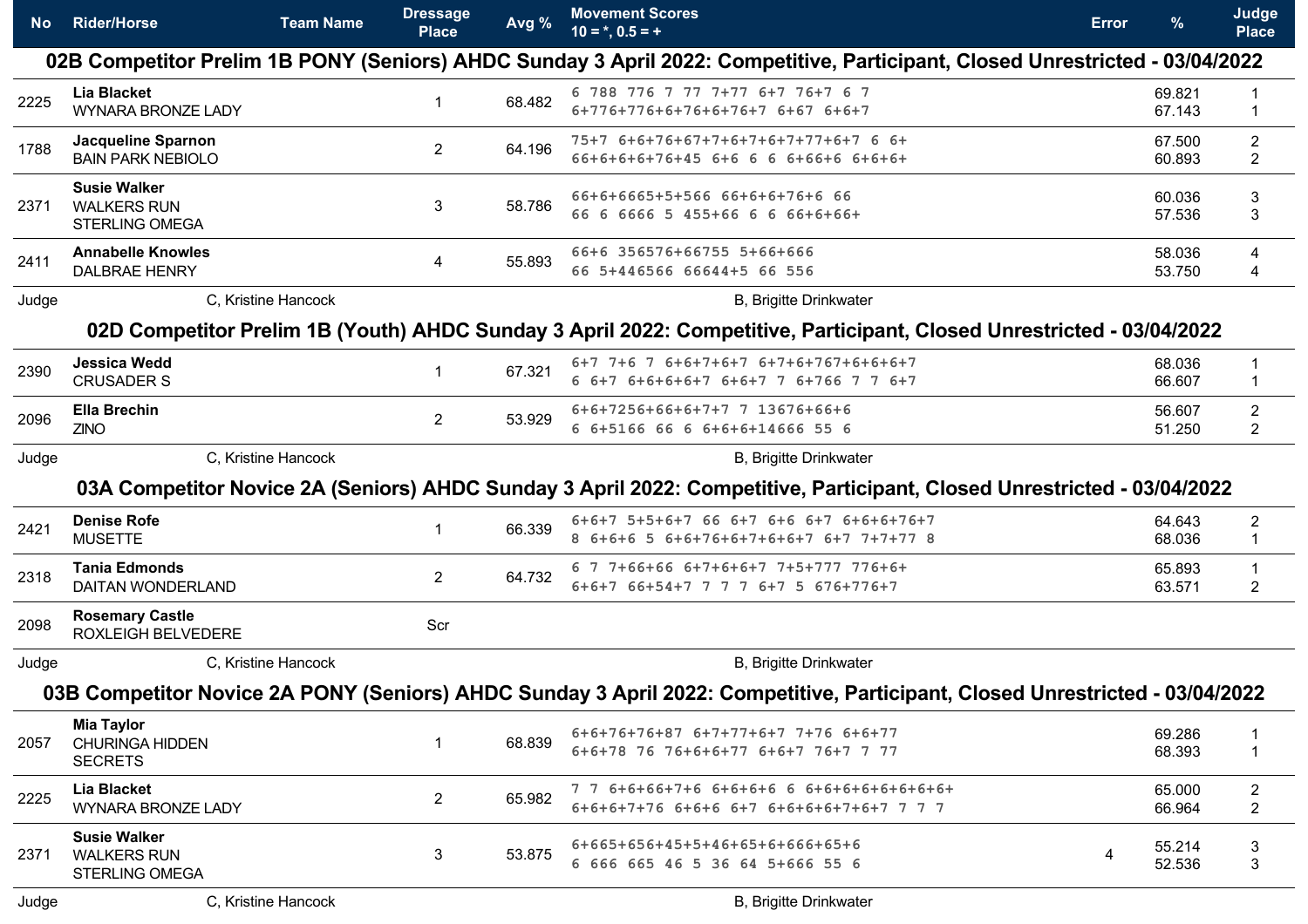| No.   | <b>Rider/Horse</b>                                                 | <b>Team Name</b> | <b>Dressage</b><br><b>Place</b> | Avg %  | <b>Movement Scores</b><br>$10 = *, 0.5 = +$                                                                                  | Error | %                | Judge<br><b>Place</b>            |
|-------|--------------------------------------------------------------------|------------------|---------------------------------|--------|------------------------------------------------------------------------------------------------------------------------------|-------|------------------|----------------------------------|
|       |                                                                    |                  |                                 |        | 02B Competitor Prelim 1B PONY (Seniors) AHDC Sunday 3 April 2022: Competitive, Participant, Closed Unrestricted - 03/04/2022 |       |                  |                                  |
| 2225  | <b>Lia Blacket</b><br><b>WYNARA BRONZE LADY</b>                    |                  | 1                               | 68.482 | 6 788 776 7 77 7+77 6+7 76+7 6 7<br>$6+776+776+6+76+6+76+76+676+6+7$                                                         |       | 69.821<br>67.143 | -1                               |
| 1788  | Jacqueline Sparnon<br><b>BAIN PARK NEBIOLO</b>                     |                  | $\overline{2}$                  | 64.196 | 75+7 6+6+76+67+7+6+7+6+7+77+6+7 6 6+<br>66+6+6+6+76+45 6+6 6 6 6+66+6 6+6+6+                                                 |       | 67.500<br>60.893 | $\overline{2}$<br>$\overline{2}$ |
| 2371  | <b>Susie Walker</b><br><b>WALKERS RUN</b><br><b>STERLING OMEGA</b> |                  | 3                               | 58.786 | 66+6+6665+5+566 66+6+6+76+6 66<br>66 6 6666 5 455+66 6 6 66+6+66+                                                            |       | 60.036<br>57.536 | 3<br>3                           |
| 2411  | <b>Annabelle Knowles</b><br><b>DALBRAE HENRY</b>                   |                  | 4                               | 55.893 | 66+6 356576+66755 5+66+666<br>66 5+446566 66644+5 66 556                                                                     |       | 58.036<br>53.750 | 4<br>4                           |
| Judge | C, Kristine Hancock                                                |                  |                                 |        | <b>B, Brigitte Drinkwater</b>                                                                                                |       |                  |                                  |
|       |                                                                    |                  |                                 |        | 02D Competitor Prelim 1B (Youth) AHDC Sunday 3 April 2022: Competitive, Participant, Closed Unrestricted - 03/04/2022        |       |                  |                                  |
| 2390  | <b>Jessica Wedd</b><br><b>CRUSADER S</b>                           |                  | 1                               | 67.321 | 6+7 7+6 7 6+6+7+6+7 6+7+6+767+6+6+6+7<br>6 6+7 6+6+6+6+7 6+6+7 7 6+766 7 7 6+7                                               |       | 68.036<br>66.607 | 1                                |
| 2096  | <b>Ella Brechin</b><br><b>ZINO</b>                                 |                  | $\mathbf{2}$                    | 53.929 | 6+6+7256+66+6+7+7 7 13676+66+6<br>6 6+5166 66 6 6+6+6+14666 55 6                                                             |       | 56.607<br>51.250 | $\overline{c}$<br>$\overline{2}$ |
| Judge | C, Kristine Hancock                                                |                  |                                 |        | <b>B, Brigitte Drinkwater</b>                                                                                                |       |                  |                                  |
|       |                                                                    |                  |                                 |        | 03A Competitor Novice 2A (Seniors) AHDC Sunday 3 April 2022: Competitive, Participant, Closed Unrestricted - 03/04/2022      |       |                  |                                  |
| 2421  | <b>Denise Rofe</b><br><b>MUSETTE</b>                               |                  | $\mathbf{1}$                    | 66.339 | 6+6+7 5+5+6+7 66 6+7 6+6 6+7 6+6+6+76+7<br>8 6+6+6 5 6+6+76+6+7+6+6+7 6+7 7+7+77 8                                           |       | 64.643<br>68.036 | $\overline{c}$<br>1              |
| 2318  | <b>Tania Edmonds</b><br>DAITAN WONDERLAND                          |                  | $\mathbf{2}$                    | 64.732 | 6 7 7+66+66 6+7+6+6+7 7+5+777 776+6+<br>6+6+7 66+54+7 7 7 7 6+7 5 676+776+7                                                  |       | 65.893<br>63.571 | $\overline{2}$                   |
| 2098  | <b>Rosemary Castle</b><br>ROXLEIGH BELVEDERE                       |                  | Scr                             |        |                                                                                                                              |       |                  |                                  |
| Judge | C, Kristine Hancock                                                |                  |                                 |        | <b>B, Brigitte Drinkwater</b>                                                                                                |       |                  |                                  |
|       |                                                                    |                  |                                 |        | 03B Competitor Novice 2A PONY (Seniors) AHDC Sunday 3 April 2022: Competitive, Participant, Closed Unrestricted - 03/04/2022 |       |                  |                                  |
| 2057  | <b>Mia Taylor</b><br><b>CHURINGA HIDDEN</b><br><b>SECRETS</b>      |                  | $\mathbf{1}$                    | 68.839 | 6+6+76+76+87 6+7+77+6+7 7+76 6+6+77<br>6+6+78 76 76+6+6+77 6+6+7 76+7 7 77                                                   |       | 69.286<br>68.393 | $\mathbf 1$                      |
| 2225  | Lia Blacket<br><b>WYNARA BRONZE LADY</b>                           |                  | $\overline{2}$                  | 65.982 | 6+6+6+7+76 6+6+6 6+7 6+6+6+6+7+6+7 7 7 7                                                                                     |       | 65.000<br>66.964 | $\overline{2}$<br>$\overline{2}$ |
| 2371  | <b>Susie Walker</b><br><b>WALKERS RUN</b><br><b>STERLING OMEGA</b> |                  | 3                               | 53.875 | 6+665+656+45+5+46+65+6+666+65+6<br>6 666 665 46 5 36 64 5+666 55 6                                                           | 4     | 55.214<br>52.536 | 3<br>3                           |
| Judge | C, Kristine Hancock                                                |                  |                                 |        | <b>B, Brigitte Drinkwater</b>                                                                                                |       |                  |                                  |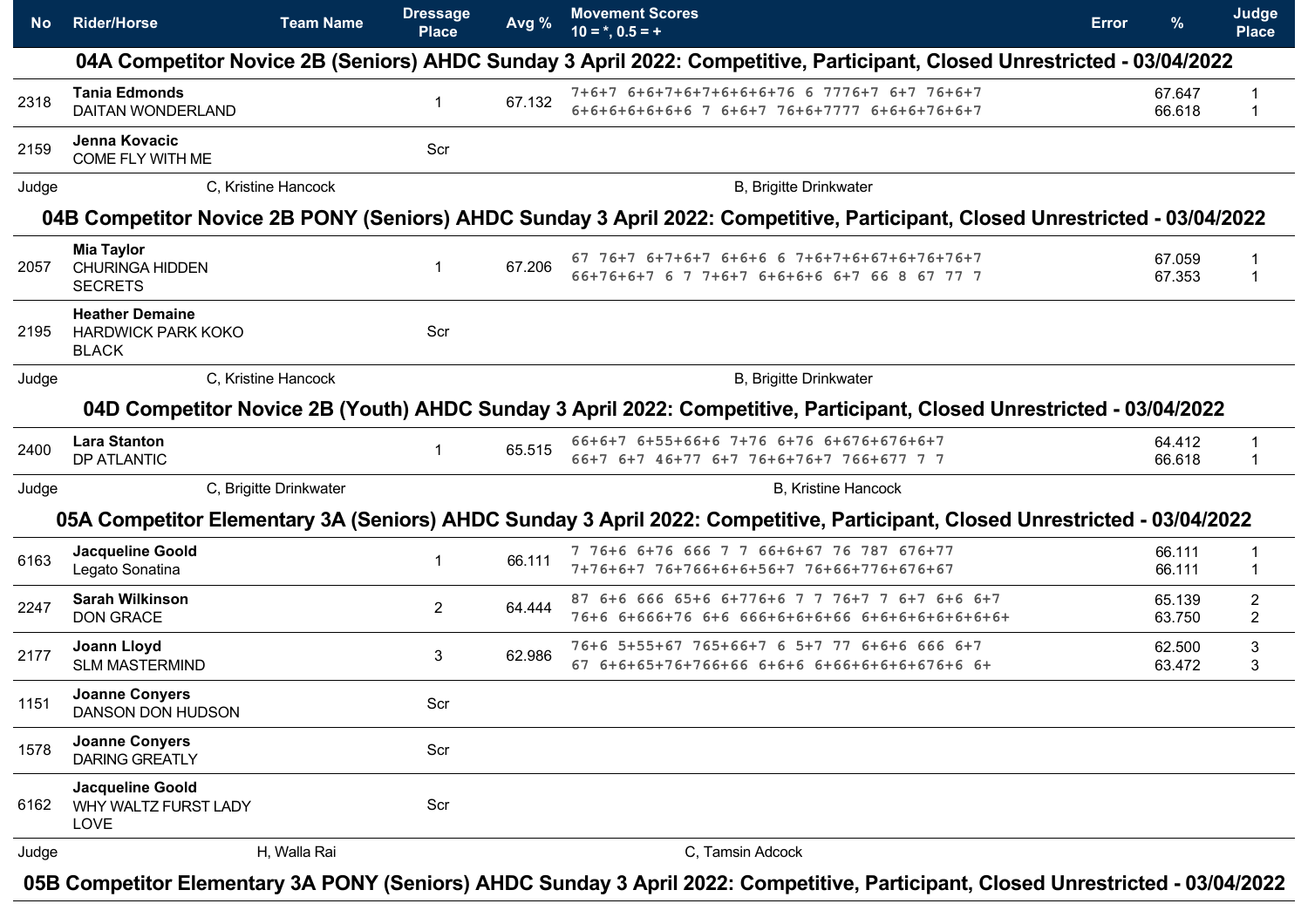| No    | <b>Rider/Horse</b>                                                  | <b>Team Name</b>       | <b>Dressage</b><br><b>Place</b> | Avg %  | <b>Movement Scores</b><br>$10 = *, 0.5 = +$                                                                                  | Error | %                | Judge<br><b>Place</b>            |
|-------|---------------------------------------------------------------------|------------------------|---------------------------------|--------|------------------------------------------------------------------------------------------------------------------------------|-------|------------------|----------------------------------|
|       |                                                                     |                        |                                 |        | 04A Competitor Novice 2B (Seniors) AHDC Sunday 3 April 2022: Competitive, Participant, Closed Unrestricted - 03/04/2022      |       |                  |                                  |
| 2318  | <b>Tania Edmonds</b><br><b>DAITAN WONDERLAND</b>                    |                        |                                 | 67.132 | 7+6+7 6+6+7+6+7+6+6+6+76 6 7776+7 6+7 76+6+7<br>6+6+6+6+6+6+6 7 6+6+7 76+6+7777 6+6+6+76+6+7                                 |       | 67.647<br>66.618 | -1                               |
| 2159  | Jenna Kovacic<br>COME FLY WITH ME                                   |                        | Scr                             |        |                                                                                                                              |       |                  |                                  |
| Judge |                                                                     | C. Kristine Hancock    |                                 |        | <b>B, Brigitte Drinkwater</b>                                                                                                |       |                  |                                  |
|       |                                                                     |                        |                                 |        | 04B Competitor Novice 2B PONY (Seniors) AHDC Sunday 3 April 2022: Competitive, Participant, Closed Unrestricted - 03/04/2022 |       |                  |                                  |
| 2057  | <b>Mia Taylor</b><br><b>CHURINGA HIDDEN</b><br><b>SECRETS</b>       |                        |                                 | 67.206 | 67 76+7 6+7+6+7 6+6+6 6 7+6+7+6+67+6+76+76+7<br>66+76+6+7 6 7 7+6+7 6+6+6+6 6+7 66 8 67 77 7                                 |       | 67.059<br>67.353 | -1                               |
| 2195  | <b>Heather Demaine</b><br><b>HARDWICK PARK KOKO</b><br><b>BLACK</b> |                        | Scr                             |        |                                                                                                                              |       |                  |                                  |
| Judge |                                                                     | C, Kristine Hancock    |                                 |        | <b>B, Brigitte Drinkwater</b>                                                                                                |       |                  |                                  |
|       |                                                                     |                        |                                 |        | 04D Competitor Novice 2B (Youth) AHDC Sunday 3 April 2022: Competitive, Participant, Closed Unrestricted - 03/04/2022        |       |                  |                                  |
| 2400  | <b>Lara Stanton</b><br><b>DP ATLANTIC</b>                           |                        |                                 | 65.515 | 66+6+7 6+55+66+6 7+76 6+76 6+676+676+6+7<br>66+7 6+7 46+77 6+7 76+6+76+7 766+677 7 7                                         |       | 64.412<br>66.618 | -1<br>1                          |
| Judge |                                                                     | C, Brigitte Drinkwater |                                 |        | <b>B, Kristine Hancock</b>                                                                                                   |       |                  |                                  |
|       |                                                                     |                        |                                 |        | 05A Competitor Elementary 3A (Seniors) AHDC Sunday 3 April 2022: Competitive, Participant, Closed Unrestricted - 03/04/2022  |       |                  |                                  |
| 6163  | <b>Jacqueline Goold</b><br>Legato Sonatina                          |                        |                                 | 66.111 | 7 76+6 6+76 666 7 7 66+6+67 76 787 676+77<br>7+76+6+7 76+766+6+6+56+7 76+66+776+676+67                                       |       | 66.111<br>66.111 | -1<br>-1                         |
| 2247  | <b>Sarah Wilkinson</b><br><b>DON GRACE</b>                          |                        | $\mathbf{2}^{\prime}$           | 64.444 | 87 6+6 666 65+6 6+776+6 7 7 76+7 7 6+7 6+6 6+7                                                                               |       | 65.139<br>63.750 | $\overline{2}$<br>$\overline{2}$ |
| 2177  | Joann Lloyd<br><b>SLM MASTERMIND</b>                                |                        | 3                               | 62.986 | 76+6 5+55+67 765+66+7 6 5+7 77 6+6+6 666 6+7<br>67 6+6+65+76+766+66 6+6+6 6+66+6+6+6+676+6 6+                                |       | 62.500<br>63.472 | 3<br>3                           |
| 1151  | <b>Joanne Conyers</b><br>DANSON DON HUDSON                          |                        | Scr                             |        |                                                                                                                              |       |                  |                                  |
| 1578  | <b>Joanne Conyers</b><br><b>DARING GREATLY</b>                      |                        | Scr                             |        |                                                                                                                              |       |                  |                                  |
| 6162  | Jacqueline Goold<br>WHY WALTZ FURST LADY<br>LOVE                    |                        | Scr                             |        |                                                                                                                              |       |                  |                                  |
| Judge |                                                                     | H, Walla Rai           |                                 |        | C, Tamsin Adcock                                                                                                             |       |                  |                                  |
|       |                                                                     |                        |                                 |        |                                                                                                                              |       |                  |                                  |

**05B Competitor Elementary 3A PONY (Seniors) AHDC Sunday 3 April 2022: Competitive, Participant, Closed Unrestricted - 03/04/2022**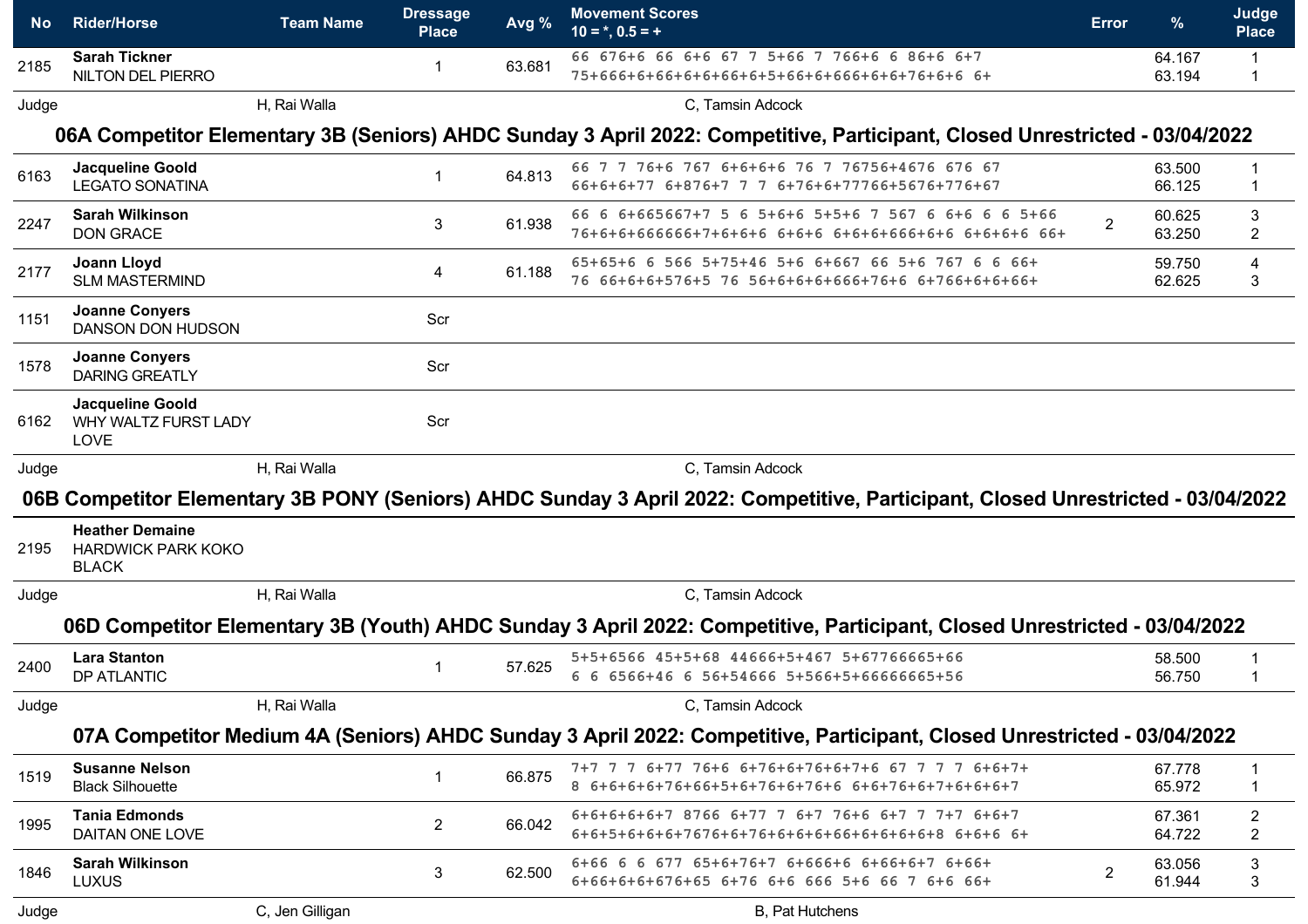| <b>No</b> | <b>Rider/Horse</b>                                                  | <b>Team Name</b> | <b>Dressage</b><br><b>Place</b> | Avg %  | <b>Movement Scores</b><br>$10 = *, 0.5 = +$                                                                                      | Error        | $\frac{9}{6}$    | Judge<br><b>Place</b>            |
|-----------|---------------------------------------------------------------------|------------------|---------------------------------|--------|----------------------------------------------------------------------------------------------------------------------------------|--------------|------------------|----------------------------------|
| 2185      | <b>Sarah Tickner</b><br>NILTON DEL PIERRO                           |                  | 1                               | 63.681 | 66 676+6 66 6+6 67 7 5+66 7 766+6 6 86+6 6+7<br>75+666+6+66+6+6+66+6+5+66+6+666+6+6+76+6+6 6+                                    |              | 64.167<br>63.194 |                                  |
| Judge     |                                                                     | H, Rai Walla     |                                 |        | C, Tamsin Adcock                                                                                                                 |              |                  |                                  |
|           |                                                                     |                  |                                 |        | 06A Competitor Elementary 3B (Seniors) AHDC Sunday 3 April 2022: Competitive, Participant, Closed Unrestricted - 03/04/2022      |              |                  |                                  |
| 6163      | Jacqueline Goold<br><b>LEGATO SONATINA</b>                          |                  | 1                               | 64.813 | 66 7 7 76+6 767 6+6+6+6 76 7 76756+4676 676 67<br>66+6+6+77 6+876+7 7 7 6+76+6+77766+5676+776+67                                 |              | 63.500<br>66.125 |                                  |
| 2247      | <b>Sarah Wilkinson</b><br><b>DON GRACE</b>                          |                  | 3                               | 61.938 | 66 6 6+665667+7 5 6 5+6+6 5+5+6 7 567 6 6+6 6 6 5+66<br>76+6+6+666666+7+6+6+6 6+6+6 6+6+6+666+6+6 6+6+6+6 66+                    |              | 60.625<br>63.250 | 3<br>$\overline{2}$              |
| 2177      | <b>Joann Lloyd</b><br><b>SLM MASTERMIND</b>                         |                  | 4                               | 61.188 | 65+65+6 6 566 5+75+46 5+6 6+667 66 5+6 767 6 6 66+<br>76 66+6+6+576+5 76 56+6+6+6+666+76+6 6+766+6+6+66+                         |              | 59.750<br>62.625 | 4<br>3                           |
| 1151      | <b>Joanne Conyers</b><br>DANSON DON HUDSON                          |                  | Scr                             |        |                                                                                                                                  |              |                  |                                  |
| 1578      | <b>Joanne Conyers</b><br><b>DARING GREATLY</b>                      |                  | Scr                             |        |                                                                                                                                  |              |                  |                                  |
| 6162      | Jacqueline Goold<br>WHY WALTZ FURST LADY<br>LOVE                    |                  | Scr                             |        |                                                                                                                                  |              |                  |                                  |
| Judge     |                                                                     | H, Rai Walla     |                                 |        | C, Tamsin Adcock                                                                                                                 |              |                  |                                  |
|           |                                                                     |                  |                                 |        | 06B Competitor Elementary 3B PONY (Seniors) AHDC Sunday 3 April 2022: Competitive, Participant, Closed Unrestricted - 03/04/2022 |              |                  |                                  |
| 2195      | <b>Heather Demaine</b><br><b>HARDWICK PARK KOKO</b><br><b>BLACK</b> |                  |                                 |        |                                                                                                                                  |              |                  |                                  |
| Judge     |                                                                     | H, Rai Walla     |                                 |        | C, Tamsin Adcock                                                                                                                 |              |                  |                                  |
|           |                                                                     |                  |                                 |        | 06D Competitor Elementary 3B (Youth) AHDC Sunday 3 April 2022: Competitive, Participant, Closed Unrestricted - 03/04/2022        |              |                  |                                  |
| 2400      | <b>Lara Stanton</b><br>DP ATLANTIC                                  |                  |                                 | 57.625 | 5+5+6566 45+5+68 44666+5+467 5+67766665+66<br>6 6 6566+46 6 56+54666 5+566+5+66666665+56                                         |              | 58.500<br>56.750 |                                  |
| Judge     |                                                                     | H, Rai Walla     |                                 |        | C, Tamsin Adcock                                                                                                                 |              |                  |                                  |
|           |                                                                     |                  |                                 |        | 07A Competitor Medium 4A (Seniors) AHDC Sunday 3 April 2022: Competitive, Participant, Closed Unrestricted - 03/04/2022          |              |                  |                                  |
| 1519      | <b>Susanne Nelson</b><br><b>Black Silhouette</b>                    |                  | 1                               | 66.875 | 8 6+6+6+6+76+66+5+6+76+6+76+6 6+6+76+6+7+6+6+6+7                                                                                 |              | 67.778<br>65.972 | $\mathbf 1$                      |
| 1995      | <b>Tania Edmonds</b><br>DAITAN ONE LOVE                             |                  | $2^{\circ}$                     | 66.042 | 6+6+6+6+6+7 8766 6+77 7 6+7 76+6 6+7 7 7+7 6+6+7                                                                                 |              | 67.361<br>64.722 | $\overline{c}$<br>$\overline{c}$ |
| 1846      | <b>Sarah Wilkinson</b><br><b>LUXUS</b>                              |                  | 3                               | 62.500 | 6+66 6 6 677 65+6+76+7 6+666+6 6+66+6+7 6+66+<br>6+66+6+6+676+65 6+76 6+6 666 5+6 66 7 6+6 66+                                   | $\mathbf{2}$ | 63.056<br>61.944 | 3<br>3                           |
| Judge     |                                                                     | C, Jen Gilligan  |                                 |        | B, Pat Hutchens                                                                                                                  |              |                  |                                  |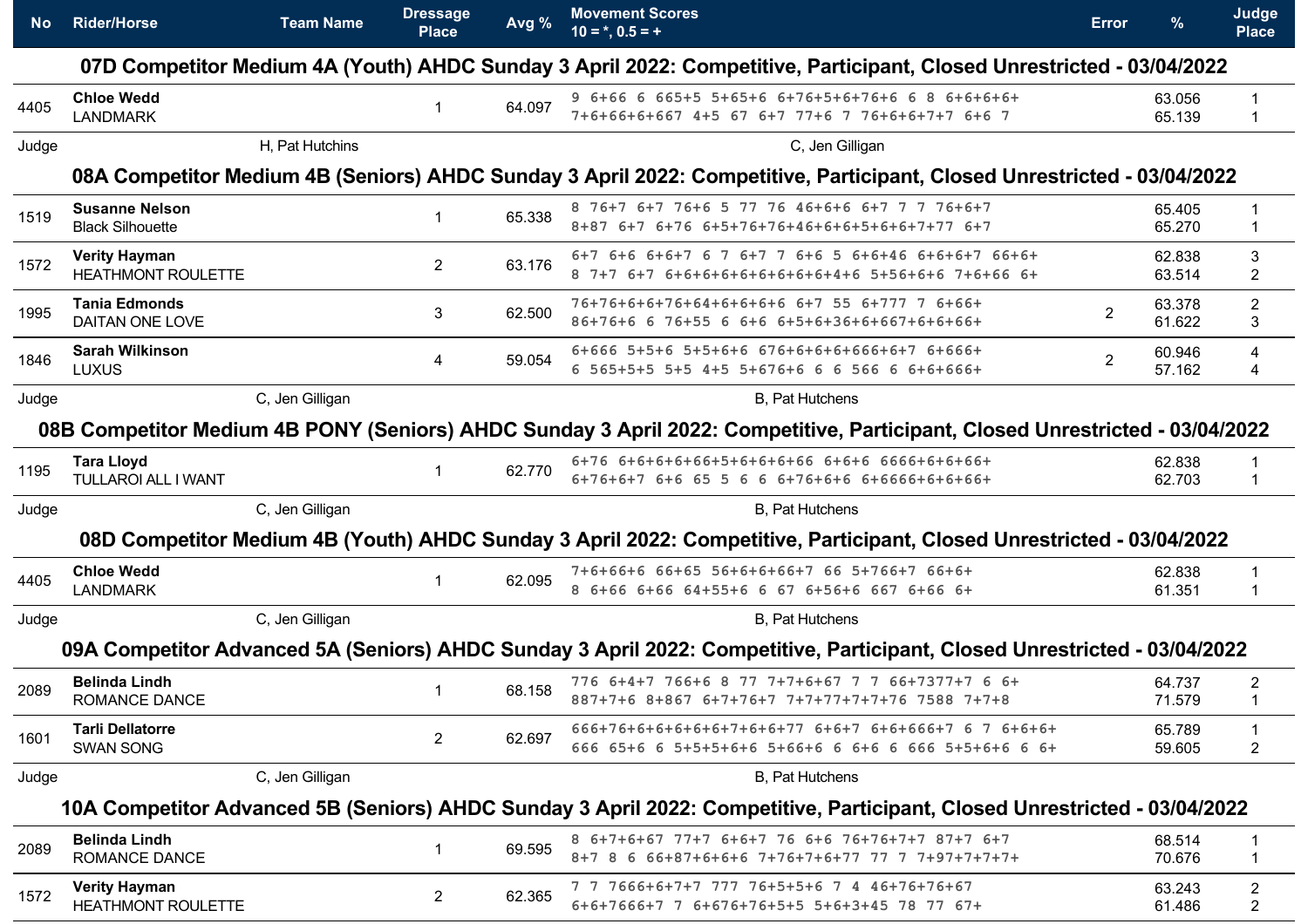| <b>No</b> | <b>Rider/Horse</b>                                | <b>Team Name</b> | <b>Dressage</b><br><b>Place</b> | Avg %  | <b>Movement Scores</b><br>$10 = *, 0.5 = +$                                                                                  | <b>Error</b>   | %                | Judge<br><b>Place</b>            |
|-----------|---------------------------------------------------|------------------|---------------------------------|--------|------------------------------------------------------------------------------------------------------------------------------|----------------|------------------|----------------------------------|
|           |                                                   |                  |                                 |        | 07D Competitor Medium 4A (Youth) AHDC Sunday 3 April 2022: Competitive, Participant, Closed Unrestricted - 03/04/2022        |                |                  |                                  |
| 4405      | <b>Chloe Wedd</b><br><b>LANDMARK</b>              |                  | 1                               | 64.097 | 9 6+66 6 665+5 5+65+6 6+76+5+6+76+6 6 8 6+6+6+6+<br>7+6+66+6+667 4+5 67 6+7 77+6 7 76+6+6+7+7 6+6 7                          |                | 63.056<br>65.139 | -1                               |
| Judge     |                                                   | H, Pat Hutchins  |                                 |        | C, Jen Gilligan                                                                                                              |                |                  |                                  |
|           |                                                   |                  |                                 |        | 08A Competitor Medium 4B (Seniors) AHDC Sunday 3 April 2022: Competitive, Participant, Closed Unrestricted - 03/04/2022      |                |                  |                                  |
| 1519      | <b>Susanne Nelson</b><br><b>Black Silhouette</b>  |                  |                                 | 65.338 | 8 76+7 6+7 76+6 5 77 76 46+6+6 6+7 7 7 76+6+7<br>8+87 6+7 6+76 6+5+76+76+46+6+6+5+6+6+7+77 6+7                               |                | 65.405<br>65.270 | -1                               |
| 1572      | <b>Verity Hayman</b><br><b>HEATHMONT ROULETTE</b> |                  | $\mathbf{2}^{\prime}$           | 63.176 | 6+7 6+6 6+6+7 6 7 6+7 7 6+6 5 6+6+46 6+6+6+7 66+6+<br>8 7+7 6+7 6+6+6+6+6+6+6+6+6+4+6 5+56+6+6 7+6+66 6+                     |                | 62.838<br>63.514 | 3<br>$\overline{2}$              |
| 1995      | <b>Tania Edmonds</b><br>DAITAN ONE LOVE           |                  | 3                               | 62.500 | 76+76+6+6+76+64+6+6+6+6 6+7 55 6+777 7 6+66+<br>86+76+6 6 76+55 6 6+6 6+5+6+36+6+667+6+6+66+                                 | $\overline{2}$ | 63.378<br>61.622 | $\overline{2}$<br>3              |
| 1846      | <b>Sarah Wilkinson</b><br><b>LUXUS</b>            |                  | 4                               | 59.054 | 6+666 5+5+6 5+5+6+6 676+6+6+6+666+6+7 6+666+<br>6 565+5+5 5+5 4+5 5+676+6 6 6 566 6 6+6+666+                                 | $\overline{2}$ | 60.946<br>57.162 | 4<br>4                           |
| Judge     |                                                   | C, Jen Gilligan  |                                 |        | <b>B.</b> Pat Hutchens                                                                                                       |                |                  |                                  |
|           |                                                   |                  |                                 |        | 08B Competitor Medium 4B PONY (Seniors) AHDC Sunday 3 April 2022: Competitive, Participant, Closed Unrestricted - 03/04/2022 |                |                  |                                  |
| 1195      | <b>Tara Lloyd</b><br><b>TULLAROI ALL I WANT</b>   |                  | 1                               | 62.770 | 6+76 6+6+6+6+66+5+6+6+6+66 6+6+6 6666+6+6+66+<br>6+76+6+7 6+6 65 5 6 6 6+76+6+6 6+6666+6+6+66+                               |                | 62.838<br>62.703 | -1                               |
| Judge     |                                                   | C, Jen Gilligan  |                                 |        | <b>B</b> , Pat Hutchens                                                                                                      |                |                  |                                  |
|           |                                                   |                  |                                 |        | 08D Competitor Medium 4B (Youth) AHDC Sunday 3 April 2022: Competitive, Participant, Closed Unrestricted - 03/04/2022        |                |                  |                                  |
| 4405      | <b>Chloe Wedd</b><br><b>LANDMARK</b>              |                  |                                 | 62.095 | 7+6+66+6 66+65 56+6+6+66+7 66 5+766+7 66+6+<br>8 6+66 6+66 64+55+6 6 67 6+56+6 667 6+66 6+                                   |                | 62.838<br>61.351 |                                  |
| Judge     |                                                   | C, Jen Gilligan  |                                 |        | <b>B</b> , Pat Hutchens                                                                                                      |                |                  |                                  |
|           |                                                   |                  |                                 |        | 09A Competitor Advanced 5A (Seniors) AHDC Sunday 3 April 2022: Competitive, Participant, Closed Unrestricted - 03/04/2022    |                |                  |                                  |
| 2089      | <b>Belinda Lindh</b><br><b>ROMANCE DANCE</b>      |                  |                                 | 68.158 | 776 6+4+7 766+6 8 77 7+7+6+67 7 7 66+7377+7 6 6+<br>887+7+6 8+867 6+7+76+7 7+7+77+7+7+76 7588 7+7+8                          |                | 64.737<br>71.579 | 2                                |
| 1601      | <b>Tarli Dellatorre</b><br><b>SWAN SONG</b>       |                  | $\overline{2}$                  | 62.697 | 666+76+6+6+6+6+6+7+6+6+77 6+6+7 6+6+666+7 6 7 6+6+6+<br>666 65+6 6 5+5+5+6+6 5+66+6 6 6+6 6 666 5+5+6+6 6 6+                 |                | 65.789<br>59.605 | -1<br>$\overline{2}$             |
| Judge     |                                                   | C, Jen Gilligan  |                                 |        | B, Pat Hutchens                                                                                                              |                |                  |                                  |
|           |                                                   |                  |                                 |        | 10A Competitor Advanced 5B (Seniors) AHDC Sunday 3 April 2022: Competitive, Participant, Closed Unrestricted - 03/04/2022    |                |                  |                                  |
| 2089      | <b>Belinda Lindh</b><br><b>ROMANCE DANCE</b>      |                  | 1                               | 69.595 | 8 6+7+6+67 77+7 6+6+7 76 6+6 76+76+7+7 87+7 6+7<br>8+7 8 6 66+87+6+6+6 7+76+7+6+77 77 7 7+97+7+7+7+                          |                | 68.514<br>70.676 | -1<br>-1                         |
| 1572      | <b>Verity Hayman</b><br>HEATHMONT ROULETTE        |                  | $\overline{2}$                  | 62.365 | 7 7 7666+6+7+7 777 76+5+5+6 7 4 46+76+76+67<br>6+6+7666+7 7 6+676+76+5+5 5+6+3+45 78 77 67+                                  |                | 63.243<br>61.486 | $\overline{2}$<br>$\overline{2}$ |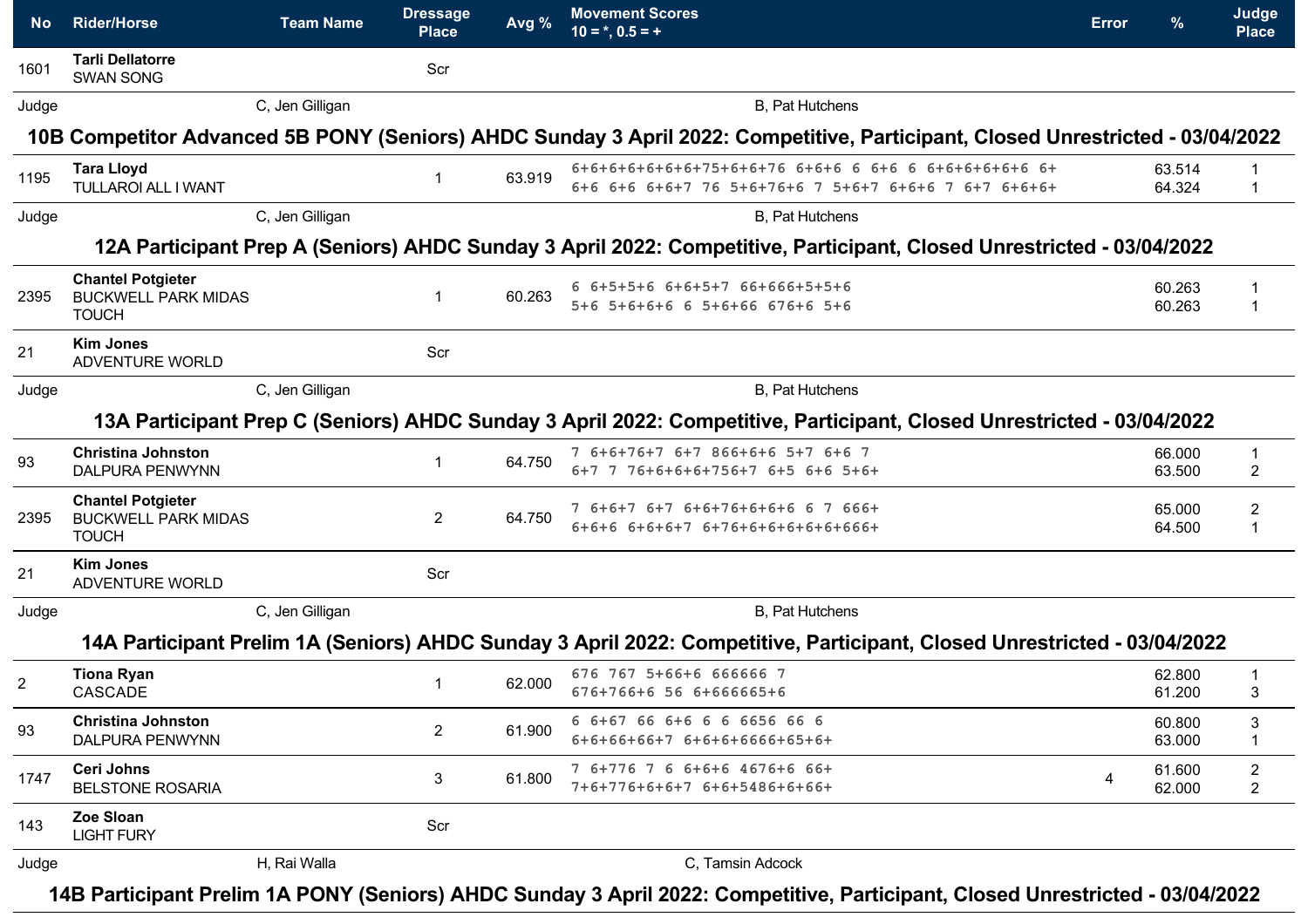| No.            | <b>Rider/Horse</b>                                                     | <b>Team Name</b> | <b>Dressage</b><br><b>Place</b> | Avg %  | <b>Movement Scores</b><br>$10 = *, 0.5 = +$                                                                                    | <b>Error</b> | %                | Judge<br><b>Place</b>            |
|----------------|------------------------------------------------------------------------|------------------|---------------------------------|--------|--------------------------------------------------------------------------------------------------------------------------------|--------------|------------------|----------------------------------|
| 1601           | <b>Tarli Dellatorre</b><br><b>SWAN SONG</b>                            |                  | Scr                             |        |                                                                                                                                |              |                  |                                  |
| Judge          |                                                                        | C, Jen Gilligan  |                                 |        | B, Pat Hutchens                                                                                                                |              |                  |                                  |
|                |                                                                        |                  |                                 |        | 10B Competitor Advanced 5B PONY (Seniors) AHDC Sunday 3 April 2022: Competitive, Participant, Closed Unrestricted - 03/04/2022 |              |                  |                                  |
| 1195           | <b>Tara Lloyd</b><br>TULLAROI ALL I WANT                               |                  | -1                              | 63.919 | 6+6+6+6+6+6+6+75+6+6+76 6+6+6 6 6+6 6 6+6+6+6+6+6 6+<br>6+6 6+6 6+6+7 76 5+6+76+6 7 5+6+7 6+6+6 7 6+7 6+6+6+                   |              | 63.514<br>64.324 | 1                                |
| Judge          |                                                                        | C, Jen Gilligan  |                                 |        | B, Pat Hutchens                                                                                                                |              |                  |                                  |
|                |                                                                        |                  |                                 |        | 12A Participant Prep A (Seniors) AHDC Sunday 3 April 2022: Competitive, Participant, Closed Unrestricted - 03/04/2022          |              |                  |                                  |
| 2395           | <b>Chantel Potgieter</b><br><b>BUCKWELL PARK MIDAS</b><br><b>TOUCH</b> |                  | -1                              | 60.263 | 6 6+5+5+6 6+6+5+7 66+666+5+5+6<br>5+6 5+6+6+6 6 5+6+66 676+6 5+6                                                               |              | 60.263<br>60.263 |                                  |
| 21             | <b>Kim Jones</b><br>ADVENTURE WORLD                                    |                  | Scr                             |        |                                                                                                                                |              |                  |                                  |
| Judge          |                                                                        | C, Jen Gilligan  |                                 |        | B, Pat Hutchens                                                                                                                |              |                  |                                  |
|                |                                                                        |                  |                                 |        | 13A Participant Prep C (Seniors) AHDC Sunday 3 April 2022: Competitive, Participant, Closed Unrestricted - 03/04/2022          |              |                  |                                  |
| 93             | <b>Christina Johnston</b><br><b>DALPURA PENWYNN</b>                    |                  | $\overline{1}$                  | 64.750 | 7 6+6+76+7 6+7 866+6+6 5+7 6+6 7<br>6+7 7 76+6+6+6+756+7 6+5 6+6 5+6+                                                          |              | 66.000<br>63.500 | $\overline{1}$<br>$\overline{2}$ |
| 2395           | <b>Chantel Potgieter</b><br><b>BUCKWELL PARK MIDAS</b><br><b>TOUCH</b> |                  | $\overline{2}$                  | 64.750 | 7 6+6+7 6+7 6+6+76+6+6+6 6 7 666+<br>$6+6+6$ $6+6+6+7$ $6+76+6+6+6+6+6+66+$                                                    |              | 65.000<br>64.500 | $\overline{c}$<br>$\overline{1}$ |
| 21             | <b>Kim Jones</b><br>ADVENTURE WORLD                                    |                  | Scr                             |        |                                                                                                                                |              |                  |                                  |
| Judge          |                                                                        | C, Jen Gilligan  |                                 |        | <b>B.</b> Pat Hutchens                                                                                                         |              |                  |                                  |
|                |                                                                        |                  |                                 |        | 14A Participant Prelim 1A (Seniors) AHDC Sunday 3 April 2022: Competitive, Participant, Closed Unrestricted - 03/04/2022       |              |                  |                                  |
| $\overline{2}$ | <b>Tiona Ryan</b><br>CASCADE                                           |                  |                                 | 62.000 | 676 767 5+66+6 666666 7<br>676+766+6 56 6+666665+6                                                                             |              | 62,800<br>61.200 | -1<br>3                          |
| 93             | <b>Christina Johnston</b><br>DALPURA PENWYNN                           |                  | $\overline{2}$                  | 61.900 | 6 6+67 66 6+6 6 6 6656 66 6<br>$6+6+66+66+7$ $6+6+6+6666+65+6+$                                                                |              | 60.800<br>63.000 | 3<br>-1                          |
| 1747           | <b>Ceri Johns</b><br><b>BELSTONE ROSARIA</b>                           |                  | 3                               | 61.800 | 7 6+776 7 6 6+6+6 4676+6 66+<br>7+6+776+6+6+7 6+6+5486+6+66+                                                                   | 4            | 61.600<br>62.000 | $\overline{c}$<br>$\overline{c}$ |
| 143            | Zoe Sloan<br><b>LIGHT FURY</b>                                         |                  | Scr                             |        |                                                                                                                                |              |                  |                                  |
| Judge          |                                                                        | H, Rai Walla     |                                 |        | C, Tamsin Adcock                                                                                                               |              |                  |                                  |

**14B Participant Prelim 1A PONY (Seniors) AHDC Sunday 3 April 2022: Competitive, Participant, Closed Unrestricted - 03/04/2022**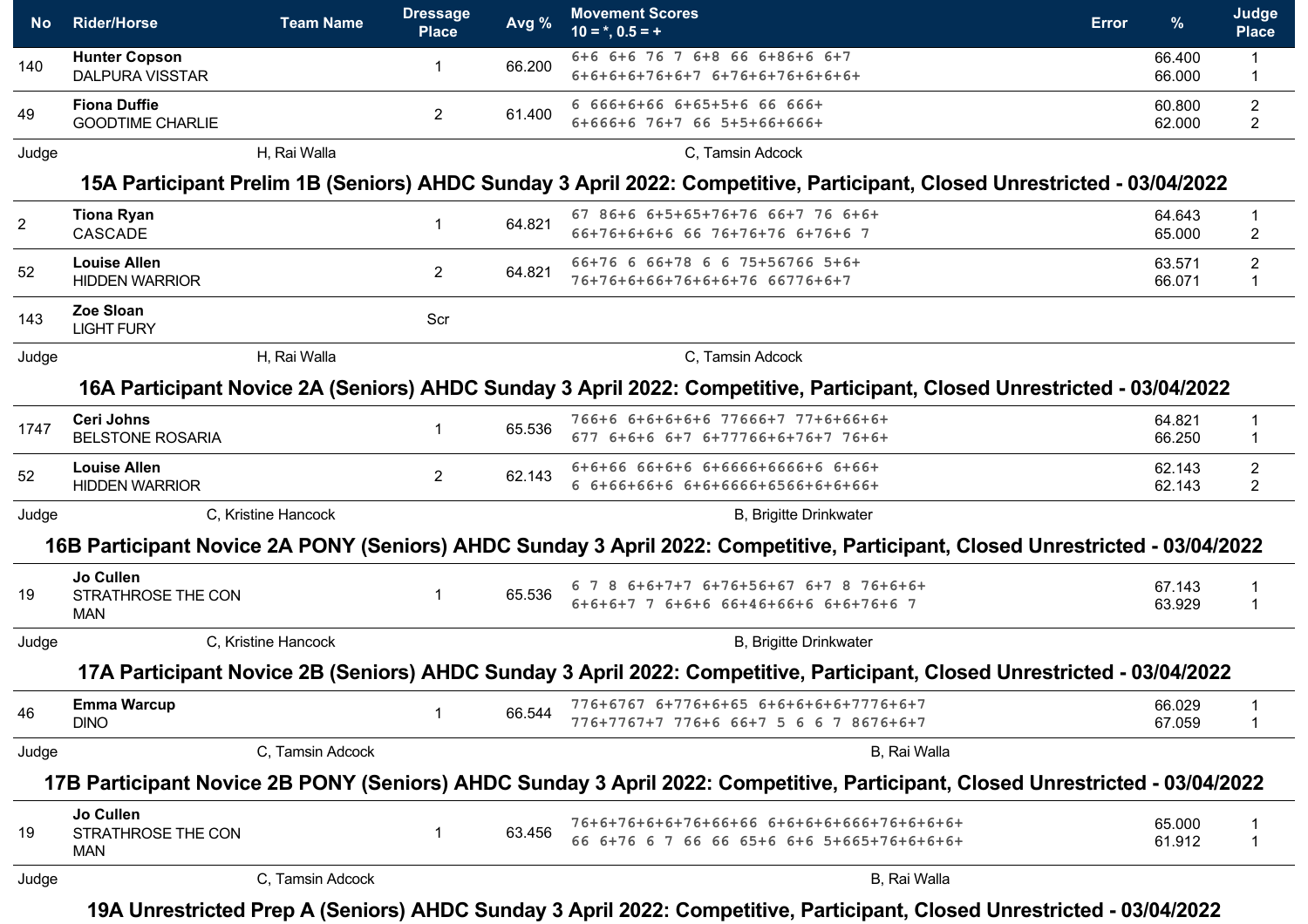| No.            | <b>Rider/Horse</b>                             | <b>Team Name</b>    | <b>Dressage</b><br><b>Place</b> | Avg %  | <b>Movement Scores</b><br>$10 = *, 0.5 = +$                                                                                   | <b>Error</b> | $\%$             | Judge<br><b>Place</b>            |
|----------------|------------------------------------------------|---------------------|---------------------------------|--------|-------------------------------------------------------------------------------------------------------------------------------|--------------|------------------|----------------------------------|
| 140            | <b>Hunter Copson</b><br><b>DALPURA VISSTAR</b> |                     | -1                              | 66.200 | 6+6 6+6 76 7 6+8 66 6+86+6 6+7<br>$6+6+6+6+76+6+76+76+6+76+6+6+6+$                                                            |              | 66.400<br>66.000 | $\mathbf{1}$<br>1                |
| 49             | <b>Fiona Duffie</b><br><b>GOODTIME CHARLIE</b> |                     | $\mathbf{2}$                    | 61.400 | 6 666+6+66 6+65+5+6 66 666+<br>6+666+6 76+7 66 5+5+66+666+                                                                    |              | 60.800<br>62.000 | $\mathbf{2}$<br>$\overline{c}$   |
| Judge          |                                                | H, Rai Walla        |                                 |        | C, Tamsin Adcock                                                                                                              |              |                  |                                  |
|                |                                                |                     |                                 |        | 15A Participant Prelim 1B (Seniors) AHDC Sunday 3 April 2022: Competitive, Participant, Closed Unrestricted - 03/04/2022      |              |                  |                                  |
| $\overline{2}$ | <b>Tiona Ryan</b><br>CASCADE                   |                     | $\overline{1}$                  | 64.821 | 67 86+6 6+5+65+76+76 66+7 76 6+6+<br>66+76+6+6+6 66 76+76+76 6+76+6 7                                                         |              | 64.643<br>65.000 | $\mathbf 1$<br>$\overline{2}$    |
| 52             | <b>Louise Allen</b><br><b>HIDDEN WARRIOR</b>   |                     | 2                               | 64.821 | 66+76 6 66+78 6 6 75+56766 5+6+<br>76+76+6+66+76+6+6+76 66776+6+7                                                             |              | 63.571<br>66.071 | $\overline{2}$<br>1              |
| 143            | Zoe Sloan<br><b>LIGHT FURY</b>                 |                     | Scr                             |        |                                                                                                                               |              |                  |                                  |
| Judge          |                                                | H, Rai Walla        |                                 |        | C, Tamsin Adcock                                                                                                              |              |                  |                                  |
|                |                                                |                     |                                 |        | 16A Participant Novice 2A (Seniors) AHDC Sunday 3 April 2022: Competitive, Participant, Closed Unrestricted - 03/04/2022      |              |                  |                                  |
| 1747           | <b>Ceri Johns</b><br><b>BELSTONE ROSARIA</b>   |                     | $\overline{1}$                  | 65.536 | 766+6 6+6+6+6+6 77666+7 77+6+66+6+<br>677 6+6+6 6+7 6+77766+6+76+7 76+6+                                                      |              | 64.821<br>66.250 | 1<br>1                           |
| 52             | <b>Louise Allen</b><br><b>HIDDEN WARRIOR</b>   |                     | 2                               | 62.143 | 6+6+66 66+6+6 6+6666+6666+6 6+66+<br>6 6+66+66+6 6+6+6666+6566+6+6+66+                                                        |              | 62.143<br>62.143 | $\overline{2}$<br>$\overline{c}$ |
| Judge          |                                                | C, Kristine Hancock |                                 |        | <b>B, Brigitte Drinkwater</b>                                                                                                 |              |                  |                                  |
|                |                                                |                     |                                 |        | 16B Participant Novice 2A PONY (Seniors) AHDC Sunday 3 April 2022: Competitive, Participant, Closed Unrestricted - 03/04/2022 |              |                  |                                  |
| 19             | Jo Cullen<br>STRATHROSE THE CON<br><b>MAN</b>  |                     | $\mathbf{1}$                    | 65.536 | 6 7 8 6+6+7+7 6+76+56+67 6+7 8 76+6+6+<br>6+6+6+7 7 6+6+6 66+46+66+6 6+6+76+6 7                                               |              | 67.143<br>63.929 | 1<br>1                           |
| Judge          |                                                | C, Kristine Hancock |                                 |        | <b>B.</b> Brigitte Drinkwater                                                                                                 |              |                  |                                  |
|                |                                                |                     |                                 |        | 17A Participant Novice 2B (Seniors) AHDC Sunday 3 April 2022: Competitive, Participant, Closed Unrestricted - 03/04/2022      |              |                  |                                  |
| 46             | <b>Emma Warcup</b><br><b>DINO</b>              |                     | $\mathbf 1$                     | 66.544 | 776+6767 6+776+6+65 6+6+6+6+6+7776+6+7<br>776+7767+7 776+6 66+7 5 6 6 7 8676+6+7                                              |              | 66.029<br>67.059 | 1                                |
| Judge          |                                                | C, Tamsin Adcock    |                                 |        | B, Rai Walla                                                                                                                  |              |                  |                                  |
|                |                                                |                     |                                 |        | 17B Participant Novice 2B PONY (Seniors) AHDC Sunday 3 April 2022: Competitive, Participant, Closed Unrestricted - 03/04/2022 |              |                  |                                  |
| 19             | Jo Cullen<br>STRATHROSE THE CON<br><b>MAN</b>  |                     | $\mathbf 1$                     | 63.456 | 66 6+76 6 7 66 66 65+6 6+6 5+665+76+6+6+6+                                                                                    |              | 65.000<br>61.912 | 1<br>1                           |
| Judge          |                                                | C, Tamsin Adcock    |                                 |        | B, Rai Walla                                                                                                                  |              |                  |                                  |

**19A Unrestricted Prep A (Seniors) AHDC Sunday 3 April 2022: Competitive, Participant, Closed Unrestricted - 03/04/2022**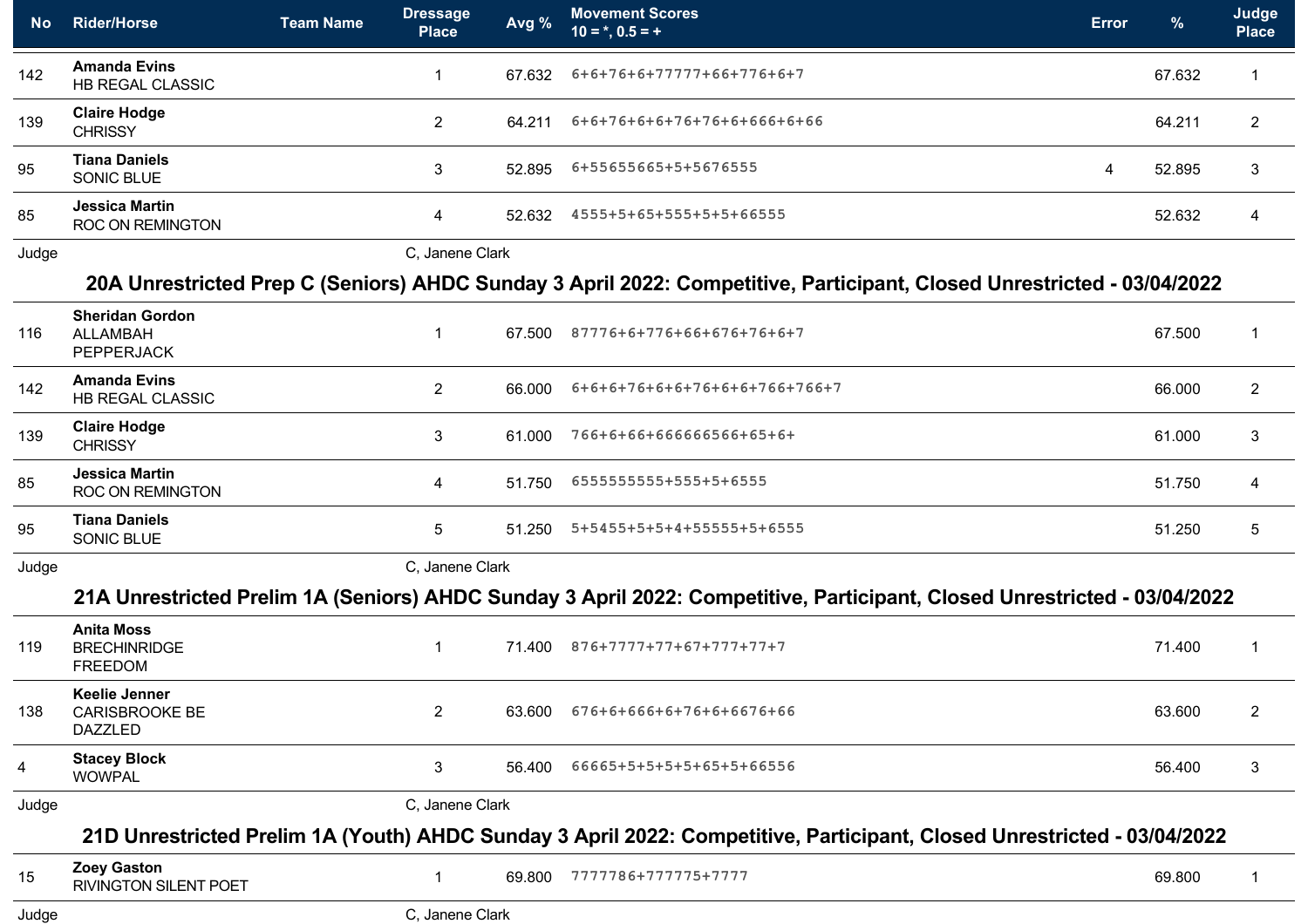| <b>No</b> | <b>Rider/Horse</b>                                             | <b>Team Name</b> | <u> Dress</u> age <br><b>Place</b> | Avg %  | <b>Movement Scores</b><br>$10 = *, 0.5 = +$                                                                               | <b>Error</b> | $\%$   | Judge<br><b>Place</b> |
|-----------|----------------------------------------------------------------|------------------|------------------------------------|--------|---------------------------------------------------------------------------------------------------------------------------|--------------|--------|-----------------------|
| 142       | <b>Amanda Evins</b><br><b>HB REGAL CLASSIC</b>                 |                  | -1                                 | 67.632 | $6+6+76+6+77777+66+776+6+7$                                                                                               |              | 67.632 |                       |
| 139       | <b>Claire Hodge</b><br><b>CHRISSY</b>                          |                  | $\overline{2}$                     | 64.211 | 6+6+76+6+6+76+76+6+666+6+66                                                                                               |              | 64.211 | $\overline{2}$        |
| 95        | <b>Tiana Daniels</b><br>SONIC BLUE                             |                  | 3                                  | 52.895 | 6+55655665+5+5676555                                                                                                      | 4            | 52.895 | 3                     |
| 85        | <b>Jessica Martin</b><br><b>ROC ON REMINGTON</b>               |                  | $\overline{4}$                     | 52.632 | 4555+5+65+555+5+5+66555                                                                                                   |              | 52.632 | $\overline{4}$        |
| Judge     |                                                                |                  | C, Janene Clark                    |        |                                                                                                                           |              |        |                       |
|           |                                                                |                  |                                    |        | 20A Unrestricted Prep C (Seniors) AHDC Sunday 3 April 2022: Competitive, Participant, Closed Unrestricted - 03/04/2022    |              |        |                       |
| 116       | <b>Sheridan Gordon</b><br><b>ALLAMBAH</b><br><b>PEPPERJACK</b> |                  | $\overline{1}$                     | 67.500 | 87776+6+776+66+676+76+6+7                                                                                                 |              | 67.500 |                       |
| 142       | <b>Amanda Evins</b><br>HB REGAL CLASSIC                        |                  | 2                                  | 66.000 | 6+6+6+76+6+6+76+6+6+766+766+7                                                                                             |              | 66.000 | $\overline{2}$        |
| 139       | <b>Claire Hodge</b><br><b>CHRISSY</b>                          |                  | 3                                  | 61.000 | 766+6+66+666666566+65+6+                                                                                                  |              | 61.000 | 3                     |
| 85        | <b>Jessica Martin</b><br><b>ROC ON REMINGTON</b>               |                  | $\overline{4}$                     | 51.750 | 6555555555+555+5+6555                                                                                                     |              | 51.750 | 4                     |
| 95        | <b>Tiana Daniels</b><br>SONIC BLUE                             |                  | 5                                  | 51.250 | 5+5455+5+5+4+55555+5+6555                                                                                                 |              | 51.250 | 5                     |
| Judge     |                                                                |                  | C, Janene Clark                    |        |                                                                                                                           |              |        |                       |
|           |                                                                |                  |                                    |        | 21A Unrestricted Prelim 1A (Seniors) AHDC Sunday 3 April 2022: Competitive, Participant, Closed Unrestricted - 03/04/2022 |              |        |                       |
| 119       | <b>Anita Moss</b><br><b>BRECHINRIDGE</b><br><b>FREEDOM</b>     |                  | $\mathbf{1}$                       | 71.400 | 876+7777+77+67+777+77+7                                                                                                   |              | 71.400 | -1                    |
| 138       | <b>Keelie Jenner</b><br>CARISBROOKE BE<br><b>DAZZLED</b>       |                  | $\mathbf{2}$                       | 63.600 | 676+6+666+6+76+6+6676+66                                                                                                  |              | 63.600 | $\overline{2}$        |
| 4         | <b>Stacey Block</b><br><b>WOWPAL</b>                           |                  | 3                                  | 56.400 | 66665+5+5+5+5+65+5+66556                                                                                                  |              | 56.400 | 3                     |
| Judge     |                                                                |                  | C, Janene Clark                    |        |                                                                                                                           |              |        |                       |
|           |                                                                |                  |                                    |        | 21D Unrestricted Prelim 1A (Youth) AHDC Sunday 3 April 2022: Competitive, Participant, Closed Unrestricted - 03/04/2022   |              |        |                       |
| 15        | <b>Zoey Gaston</b><br><b>RIVINGTON SILENT POET</b>             |                  | $\mathbf{1}$                       | 69.800 | 7777786+777775+7777                                                                                                       |              | 69.800 | 1                     |
| Judge     |                                                                |                  | C, Janene Clark                    |        |                                                                                                                           |              |        |                       |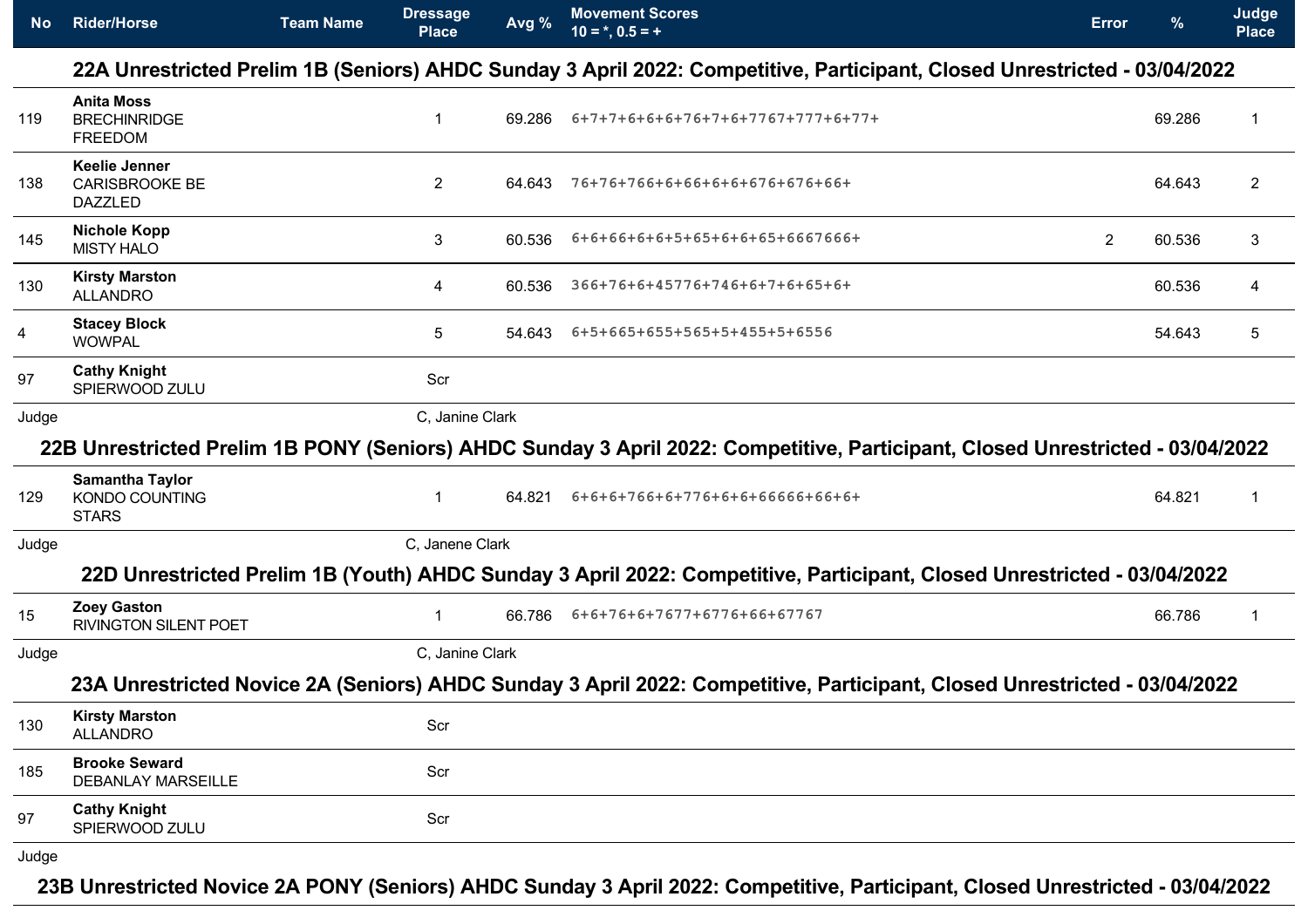| <b>No</b> | <b>Dressage</b><br>Avg %<br><b>Team Name</b><br><b>Rider/Horse</b><br>$10 = *, 0.5 = +$<br><b>Place</b> |  | <b>Movement Scores</b> | <b>Error</b> | $\frac{9}{6}$                                                                                                                  | Judge<br><b>Place</b> |        |                |
|-----------|---------------------------------------------------------------------------------------------------------|--|------------------------|--------------|--------------------------------------------------------------------------------------------------------------------------------|-----------------------|--------|----------------|
|           |                                                                                                         |  |                        |              | 22A Unrestricted Prelim 1B (Seniors) AHDC Sunday 3 April 2022: Competitive, Participant, Closed Unrestricted - 03/04/2022      |                       |        |                |
| 119       | <b>Anita Moss</b><br><b>BRECHINRIDGE</b><br><b>FREEDOM</b>                                              |  | -1                     | 69.286       | 6+7+7+6+6+6+76+7+6+7767+777+6+77+                                                                                              |                       | 69.286 | 1              |
| 138       | <b>Keelie Jenner</b><br><b>CARISBROOKE BE</b><br><b>DAZZLED</b>                                         |  | $\overline{2}$         | 64.643       | 76+76+766+6+66+6+6+676+676+66+                                                                                                 |                       | 64.643 | $\overline{c}$ |
| 145       | <b>Nichole Kopp</b><br><b>MISTY HALO</b>                                                                |  | 3                      | 60.536       | 6+6+66+6+6+5+65+6+6+65+6667666+                                                                                                | $\overline{2}$        | 60.536 | 3              |
| 130       | <b>Kirsty Marston</b><br><b>ALLANDRO</b>                                                                |  | 4                      | 60.536       | 366+76+6+45776+746+6+7+6+65+6+                                                                                                 |                       | 60.536 | 4              |
| 4         | <b>Stacey Block</b><br><b>WOWPAL</b>                                                                    |  | 5                      | 54.643       | 6+5+665+655+565+5+455+5+6556                                                                                                   |                       | 54.643 | 5              |
| 97        | <b>Cathy Knight</b><br>SPIERWOOD ZULU                                                                   |  | Scr                    |              |                                                                                                                                |                       |        |                |
| Judge     |                                                                                                         |  | C, Janine Clark        |              |                                                                                                                                |                       |        |                |
|           |                                                                                                         |  |                        |              | 22B Unrestricted Prelim 1B PONY (Seniors) AHDC Sunday 3 April 2022: Competitive, Participant, Closed Unrestricted - 03/04/2022 |                       |        |                |
| 129       | <b>Samantha Taylor</b><br>KONDO COUNTING<br><b>STARS</b>                                                |  | $\overline{1}$         | 64.821       | 6+6+6+766+6+776+6+6+66666+66+6+                                                                                                |                       | 64.821 | 1              |
| Judge     |                                                                                                         |  | C, Janene Clark        |              |                                                                                                                                |                       |        |                |
|           |                                                                                                         |  |                        |              | 22D Unrestricted Prelim 1B (Youth) AHDC Sunday 3 April 2022: Competitive, Participant, Closed Unrestricted - 03/04/2022        |                       |        |                |
| 15        | <b>Zoey Gaston</b><br><b>RIVINGTON SILENT POET</b>                                                      |  | -1                     | 66.786       | 6+6+76+6+7677+6776+66+67767                                                                                                    |                       | 66.786 | 1              |
| Judge     |                                                                                                         |  | C, Janine Clark        |              |                                                                                                                                |                       |        |                |
|           |                                                                                                         |  |                        |              | 23A Unrestricted Novice 2A (Seniors) AHDC Sunday 3 April 2022: Competitive, Participant, Closed Unrestricted - 03/04/2022      |                       |        |                |
| 130       | <b>Kirsty Marston</b><br><b>ALLANDRO</b>                                                                |  | Scr                    |              |                                                                                                                                |                       |        |                |
| 185       | <b>Brooke Seward</b><br><b>DEBANLAY MARSEILLE</b>                                                       |  | Scr                    |              |                                                                                                                                |                       |        |                |
| 97        | <b>Cathy Knight</b><br>SPIERWOOD ZULU                                                                   |  | Scr                    |              |                                                                                                                                |                       |        |                |
| Judge     |                                                                                                         |  |                        |              |                                                                                                                                |                       |        |                |

**23B Unrestricted Novice 2A PONY (Seniors) AHDC Sunday 3 April 2022: Competitive, Participant, Closed Unrestricted - 03/04/2022**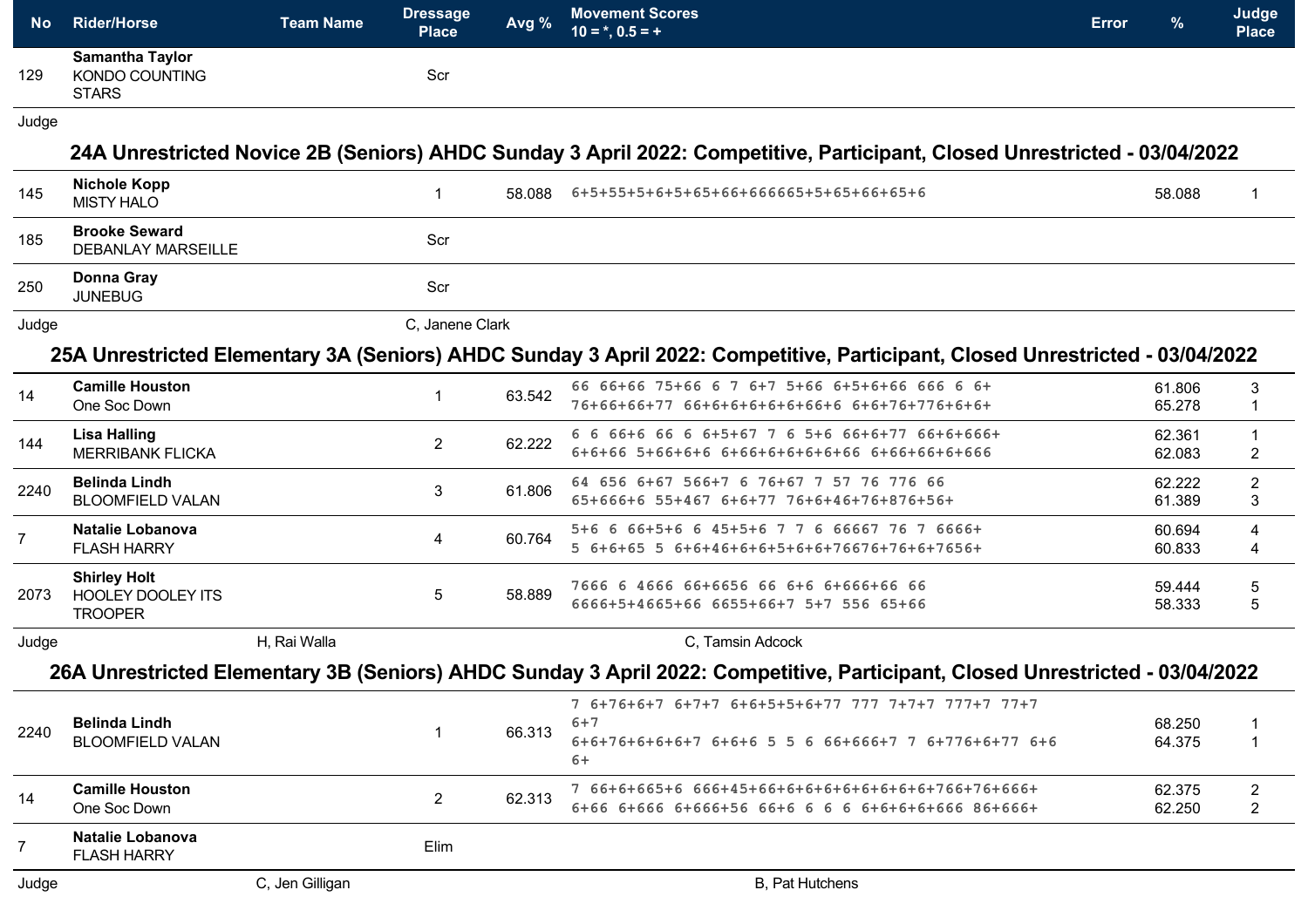| <b>No</b>      | <b>Rider/Horse</b>                                                | <b>Team Name</b> | <b>Dressage</b><br><b>Place</b> | Avg %  | <b>Movement Scores</b><br><b>Error</b><br>$10 = *, 0.5 = +$                                                                   | $\frac{9}{6}$    | Judge<br><b>Place</b>            |
|----------------|-------------------------------------------------------------------|------------------|---------------------------------|--------|-------------------------------------------------------------------------------------------------------------------------------|------------------|----------------------------------|
| 129            | <b>Samantha Taylor</b><br><b>KONDO COUNTING</b><br><b>STARS</b>   |                  | Scr                             |        |                                                                                                                               |                  |                                  |
| Judge          |                                                                   |                  |                                 |        |                                                                                                                               |                  |                                  |
|                |                                                                   |                  |                                 |        | 24A Unrestricted Novice 2B (Seniors) AHDC Sunday 3 April 2022: Competitive, Participant, Closed Unrestricted - 03/04/2022     |                  |                                  |
| 145            | <b>Nichole Kopp</b><br><b>MISTY HALO</b>                          |                  | $\mathbf{1}$                    | 58.088 | 6+5+55+5+6+5+65+66+666665+5+65+66+65+6                                                                                        | 58.088           | 1                                |
| 185            | <b>Brooke Seward</b><br><b>DEBANLAY MARSEILLE</b>                 |                  | Scr                             |        |                                                                                                                               |                  |                                  |
| 250            | <b>Donna Gray</b><br><b>JUNEBUG</b>                               |                  | Scr                             |        |                                                                                                                               |                  |                                  |
| Judge          |                                                                   |                  | C, Janene Clark                 |        |                                                                                                                               |                  |                                  |
|                |                                                                   |                  |                                 |        | 25A Unrestricted Elementary 3A (Seniors) AHDC Sunday 3 April 2022: Competitive, Participant, Closed Unrestricted - 03/04/2022 |                  |                                  |
| 14             | <b>Camille Houston</b><br>One Soc Down                            |                  | $\mathbf{1}$                    | 63.542 | 66 66+66 75+66 6 7 6+7 5+66 6+5+6+66 666 6 6+<br>76+66+66+77 66+6+6+6+6+6+66+6 6+6+76+776+6+6+                                | 61.806<br>65.278 | 3<br>$\mathbf{1}$                |
| 144            | <b>Lisa Halling</b><br><b>MERRIBANK FLICKA</b>                    |                  | $\overline{2}$                  | 62.222 | 6 6 66+6 66 6 6+5+67 7 6 5+6 66+6+77 66+6+666+<br>6+6+66 5+66+6+6 6+66+6+6+6+6+66 6+66+66+6+666                               | 62.361<br>62.083 | $\mathbf{1}$<br>$\overline{c}$   |
| 2240           | <b>Belinda Lindh</b><br><b>BLOOMFIELD VALAN</b>                   |                  | 3                               | 61.806 | 64 656 6+67 566+7 6 76+67 7 57 76 776 66<br>65+666+6 55+467 6+6+77 76+6+46+76+876+56+                                         | 62.222<br>61.389 | $\overline{c}$<br>3              |
| $\overline{7}$ | <b>Natalie Lobanova</b><br><b>FLASH HARRY</b>                     |                  | 4                               | 60.764 | 5+6 6 66+5+6 6 45+5+6 7 7 6 66667 76 7 6666+<br>5 6+6+65 5 6+6+46+6+6+5+6+6+76676+76+6+7656+                                  | 60.694<br>60.833 | 4<br>4                           |
| 2073           | <b>Shirley Holt</b><br><b>HOOLEY DOOLEY ITS</b><br><b>TROOPER</b> |                  | 5                               | 58.889 | 7666 6 4666 66+6656 66 6+6 6+666+66 66<br>6666+5+4665+66 6655+66+7 5+7 556 65+66                                              | 59.444<br>58.333 | 5<br>5                           |
| Judge          |                                                                   | H, Rai Walla     |                                 |        | C, Tamsin Adcock                                                                                                              |                  |                                  |
|                |                                                                   |                  |                                 |        | 26A Unrestricted Elementary 3B (Seniors) AHDC Sunday 3 April 2022: Competitive, Participant, Closed Unrestricted - 03/04/2022 |                  |                                  |
| 2240           | <b>Belinda Lindh</b><br><b>BLOOMFIELD VALAN</b>                   |                  | $\mathbf{1}$                    | 66.313 | 7 6+76+6+7 6+7+7 6+6+5+5+6+77 777 7+7+7 777+7 77+7<br>$6 + 7$<br>6+6+76+6+6+6+7 6+6+6 5 5 6 66+666+7 7 6+776+6+77 6+6<br>$6+$ | 68.250<br>64.375 | $\mathbf{1}$                     |
| 14             | <b>Camille Houston</b><br>One Soc Down                            |                  | $\overline{2}$                  | 62.313 | 7 66+6+665+6 666+45+66+6+6+6+6+6+6+6+6+6+766+76+666+                                                                          | 62.375<br>62.250 | $\overline{c}$<br>$\overline{2}$ |
| $\overline{7}$ | <b>Natalie Lobanova</b><br><b>FLASH HARRY</b>                     |                  | Elim                            |        |                                                                                                                               |                  |                                  |
| Judge          |                                                                   | C, Jen Gilligan  |                                 |        | B, Pat Hutchens                                                                                                               |                  |                                  |